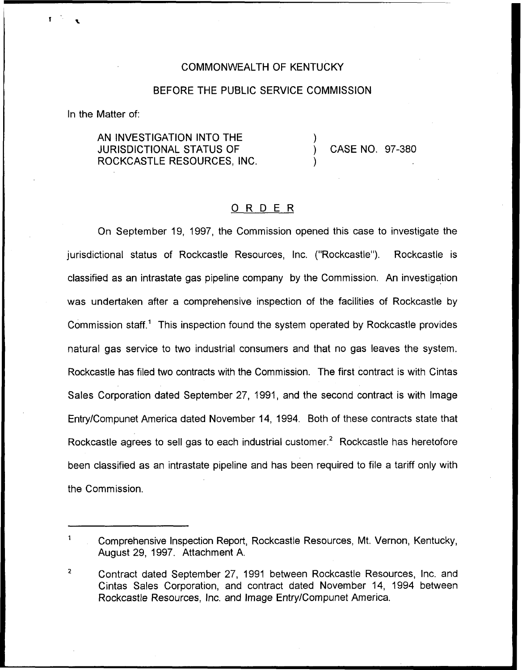## COMMONWEALTH OF KENTUCKY

## BEFORE THE PUBLIC SERVICE COMMISSION

In the Matter of:

AN INVESTIGATION INTO THE JURISDICTIONAL STATUS OF ROCKCASTLE RESOURCES, INC,

) CASE NO. 97-380

)

)

## 0 <sup>R</sup> <sup>D</sup> <sup>E</sup> <sup>R</sup>

On September 19, 1997, the Commission opened this case to investigate the jurisdictional status of Rockcastle Resources, Inc. ("Rockcastle"). Rockcastle is classified as an intrastate gas pipeline company by the Commission. An investigation was undertaken after a comprehensive inspection of the facilities of Rockcastle by Commission staff." This inspection found the system operated by Rockcastle provides natural gas service to two industrial consumers and that no gas leaves the system. Rockcastle has filed two contracts with the Commission. The first contract is with Cintas Sales Corporation dated September 27, 1991, and the second contract is with Image EntryiCompunet America dated November 14, 1994. Both of these contracts state that Rockcastle agrees to sell gas to each industrial customer.<sup>2</sup> Rockcastle has heretofore been classified as an intrastate pipeline and has been required to file a tariff only with the Commission.

Comprehensive Inspection Report, Rockcastle Resources, Mt. Vernon, Kentucky, August 29, 1997. Attachment A.

 $\overline{2}$ Contract dated September 27, 1991 between Rockcastle Resources, Inc. and Cintas Sales Corporation, and contract dated November 14, 1994 between Rockcastle Resources, Inc. and Image Entry/Compunet America.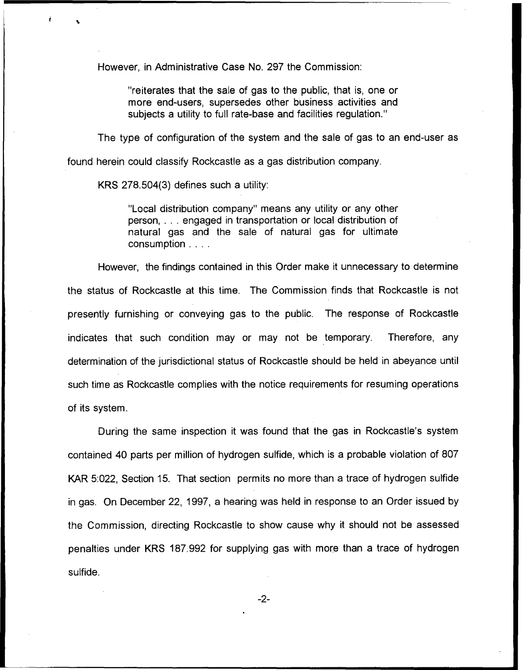However, in Administrative Case No. 297 the Commission:

"reiterates that the sale of gas to the public, that is, one or more end-users, supersedes other business activities and subjects a utility to full rate-base and facilities regulation."

The type of configuration of the system and the sale of gas to an end-user as

found herein could classify Rockcastle as a gas distribution company.

KRS 278.504(3) defines such a utility:

"Local distribution company" means any utility or any other person, ... engaged in transportation or local distribution of natural gas and the sale of natural gas for ultimate consumption . . . .

However, the findings contained in this Order make it unnecessary to determine the status of Rockcastle at this time. The Commission finds that Rockcastle is not presently furnishing or conveying gas to the public. The response of Rockcastle indicates that such condition may or may not be temporary. Therefore, any determination of the jurisdictional status of Rockcastle should be held in abeyance until such time as Rockcastle complies with the notice requirements for resuming operations of its system.

During the same inspection it was found that the gas in Rockcastle's system contained 40 parts per million of hydrogen sulfide, which is a probable violation of 807 KAR 5;022, Section 15. That section permits no more than a trace of hydrogen sulfide in gas. On December 22, 1997, a hearing was held in response to an Order issued by the Commission, directing Rockcastle to show cause why it should not be assessed penalties under KRS 187.992 for supplying gas with more than a trace of hydrogen sulfide.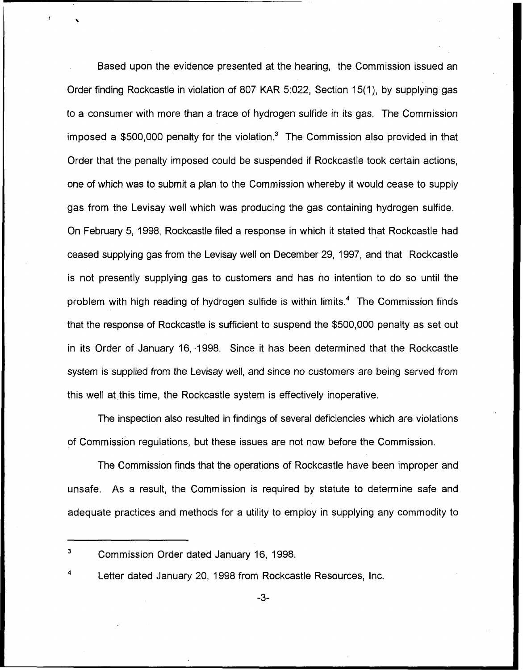Based upon the evidence presented at the hearing, the Commission issued an Order finding Rockcastle in violation of 807 KAR 5:022, Section 15(1), by supplying gas to a consumer with more than a trace of hydrogen sulfide in its gas. The Commission imposed a  $$500,000$  penalty for the violation.<sup>3</sup> The Commission also provided in that Order that the penalty imposed could be suspended if Rockcastle took certain actions, one of which was to submit a plan to the Commission whereby it would cease to supply gas from the Levisay well which was producing the gas containing hydrogen sulfide. On February 5, 1998, Rockcastle filed a response in which it stated that Rockcastle had ceased supplying gas from the Levisay well on December 29, 1997, and that Rockcastle is not presently supplying gas to customers and has no intention to do so until the problem with high reading of hydrogen sulfide is within limits.<sup>4</sup> The Commission finds that the response of Rockcastle is sufficient to suspend the \$500,000 penalty as set out in its Order of January 16, 1998. Since it has been determined that the Rockcastle system is supplied from the Levisay well, and since no customers are being served from this well at this time, the Rockcastle system is effectively inoperative.

The inspection also resulted in findings of several deficiencies which are violations of Commission regulations, but these issues are not now before the Commission.

The Commission finds that the operations of Rockcastle have been improper and unsafe. As a result, the Commission is required by statute to determine safe and adequate practices and methods for a utility to employ in supplying any commodity to

<sup>3</sup> Commission Order dated January 16, 1998.

Letter dated January 20, 1998 from Rockcastle Resources, Inc.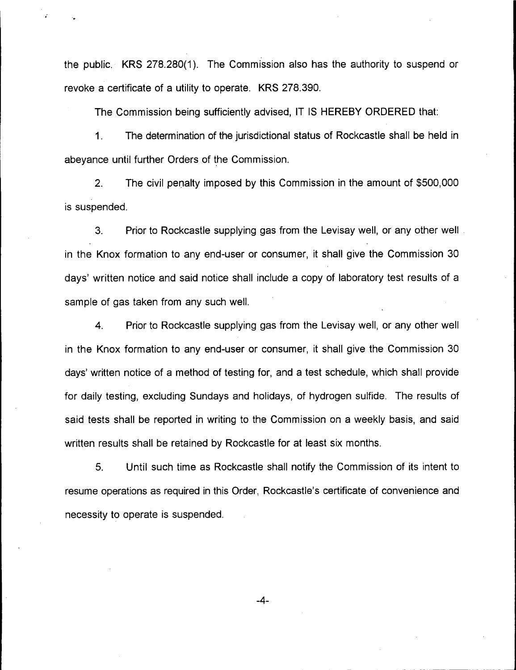the public. KRS 278.280(1}. The Commission also has the authority to suspend or revoke a certificate of a utility to operate. KRS 278.390.

The Commission being sufficiently advised, IT IS HEREBY ORDERED that:

1. The determination of the jurisdictional status of Rockcastle shall be held in abeyance until further Orders of the Commission.

2. The civil penalty imposed by this Commission in the amount of \$500,000 is suspended.

3. Prior to Rockcastle supplying gas from the Levisay well, or any other well. in the Knox formation to any end-user or consumer, it shall give the Commission 30 days' written notice and said notice shall include a copy of laboratory test results of a sample of gas taken from any such well.

4. Prior to Rockcastle supplying gas from the Levisay well, or any other well in the Knox formation to any end-user or consumer, it shall give the Commission 30 days' written notice of a method of testing for, and a test schedule, which shall provide for daily testing, excluding Sundays and holidays, of hydrogen sulfide. The results of said tests shall be reported in writing to the Commission on a weekly basis, and said written results shall be retained by Rockcastle for at least six months.

5. Until such time as Rockcastle shall notify the Commission of its intent to resume operations as required in this Order, Rockcastle's certificate of convenience and necessity to operate is suspended.

 $-4-$